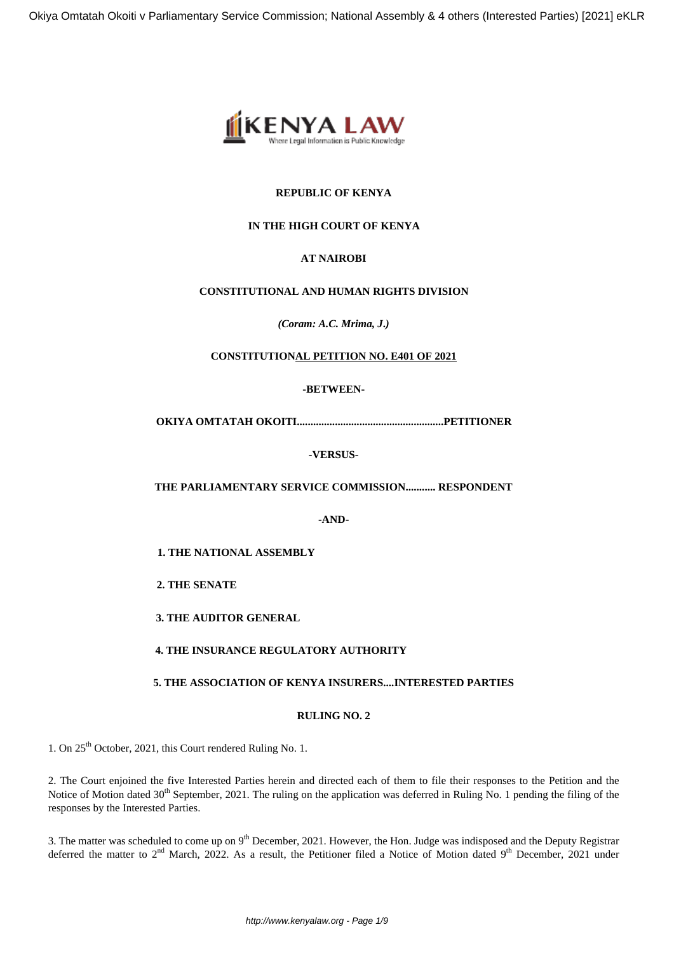

## **REPUBLIC OF KENYA**

# **IN THE HIGH COURT OF KENYA**

# **AT NAIROBI**

## **CONSTITUTIONAL AND HUMAN RIGHTS DIVISION**

*(Coram: A.C. Mrima, J***.***)*

## **CONSTITUTIONAL PETITION NO. E401 OF 2021**

## **-BETWEEN-**

**OKIYA OMTATAH OKOITI......................................................PETITIONER**

**-VERSUS-**

**THE PARLIAMENTARY SERVICE COMMISSION........... RESPONDENT**

**-AND-**

**1. THE NATIONAL ASSEMBLY**

**2. THE SENATE**

**3. THE AUDITOR GENERAL**

**4. THE INSURANCE REGULATORY AUTHORITY**

### **5. THE ASSOCIATION OF KENYA INSURERS....INTERESTED PARTIES**

## **RULING NO. 2**

1. On 25<sup>th</sup> October, 2021, this Court rendered Ruling No. 1.

2. The Court enjoined the five Interested Parties herein and directed each of them to file their responses to the Petition and the Notice of Motion dated 30<sup>th</sup> September, 2021. The ruling on the application was deferred in Ruling No. 1 pending the filing of the responses by the Interested Parties.

3. The matter was scheduled to come up on 9<sup>th</sup> December, 2021. However, the Hon. Judge was indisposed and the Deputy Registrar deferred the matter to  $2<sup>nd</sup>$  March, 2022. As a result, the Petitioner filed a Notice of Motion dated 9<sup>th</sup> December, 2021 under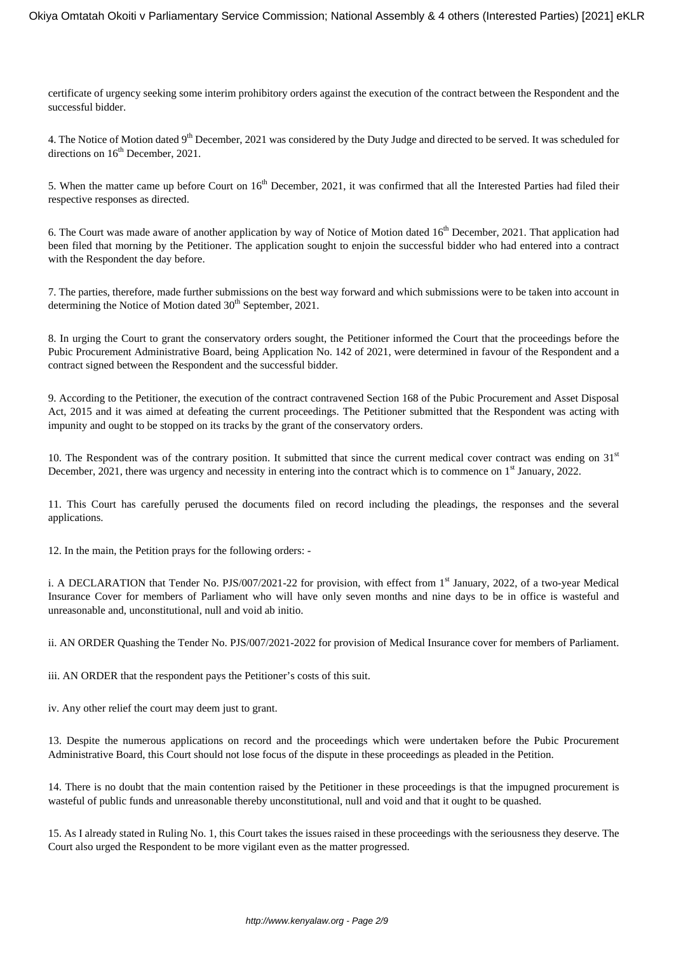certificate of urgency seeking some interim prohibitory orders against the execution of the contract between the Respondent and the successful bidder.

4. The Notice of Motion dated 9<sup>th</sup> December, 2021 was considered by the Duty Judge and directed to be served. It was scheduled for directions on  $16<sup>th</sup>$  December, 2021.

5. When the matter came up before Court on  $16<sup>th</sup>$  December, 2021, it was confirmed that all the Interested Parties had filed their respective responses as directed.

6. The Court was made aware of another application by way of Notice of Motion dated  $16<sup>th</sup>$  December, 2021. That application had been filed that morning by the Petitioner. The application sought to enjoin the successful bidder who had entered into a contract with the Respondent the day before.

7. The parties, therefore, made further submissions on the best way forward and which submissions were to be taken into account in determining the Notice of Motion dated  $30<sup>th</sup>$  September, 2021.

8. In urging the Court to grant the conservatory orders sought, the Petitioner informed the Court that the proceedings before the Pubic Procurement Administrative Board, being Application No. 142 of 2021, were determined in favour of the Respondent and a contract signed between the Respondent and the successful bidder.

9. According to the Petitioner, the execution of the contract contravened Section 168 of the Pubic Procurement and Asset Disposal Act, 2015 and it was aimed at defeating the current proceedings. The Petitioner submitted that the Respondent was acting with impunity and ought to be stopped on its tracks by the grant of the conservatory orders.

10. The Respondent was of the contrary position. It submitted that since the current medical cover contract was ending on  $31<sup>st</sup>$ December, 2021, there was urgency and necessity in entering into the contract which is to commence on  $1<sup>st</sup>$  January, 2022.

11. This Court has carefully perused the documents filed on record including the pleadings, the responses and the several applications.

12. In the main, the Petition prays for the following orders: -

i. A DECLARATION that Tender No. PJS/007/2021-22 for provision, with effect from  $1<sup>st</sup>$  January, 2022, of a two-year Medical Insurance Cover for members of Parliament who will have only seven months and nine days to be in office is wasteful and unreasonable and, unconstitutional, null and void ab initio.

ii. AN ORDER Quashing the Tender No. PJS/007/2021-2022 for provision of Medical Insurance cover for members of Parliament.

iii. AN ORDER that the respondent pays the Petitioner's costs of this suit.

iv. Any other relief the court may deem just to grant.

13. Despite the numerous applications on record and the proceedings which were undertaken before the Pubic Procurement Administrative Board, this Court should not lose focus of the dispute in these proceedings as pleaded in the Petition.

14. There is no doubt that the main contention raised by the Petitioner in these proceedings is that the impugned procurement is wasteful of public funds and unreasonable thereby unconstitutional, null and void and that it ought to be quashed.

15. As I already stated in Ruling No. 1, this Court takes the issues raised in these proceedings with the seriousness they deserve. The Court also urged the Respondent to be more vigilant even as the matter progressed.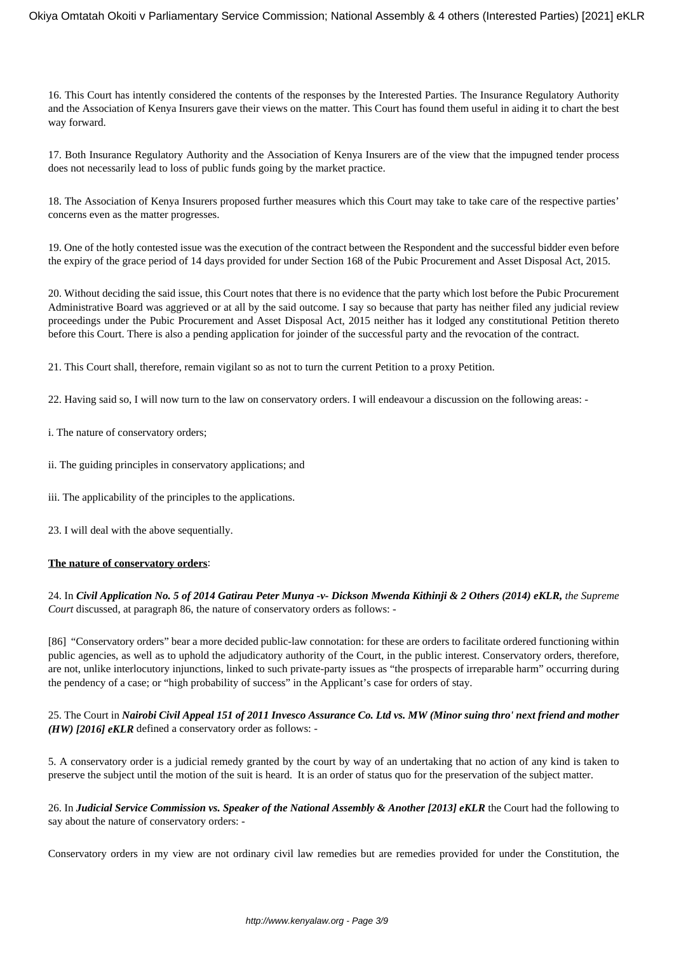16. This Court has intently considered the contents of the responses by the Interested Parties. The Insurance Regulatory Authority and the Association of Kenya Insurers gave their views on the matter. This Court has found them useful in aiding it to chart the best way forward.

17. Both Insurance Regulatory Authority and the Association of Kenya Insurers are of the view that the impugned tender process does not necessarily lead to loss of public funds going by the market practice.

18. The Association of Kenya Insurers proposed further measures which this Court may take to take care of the respective parties' concerns even as the matter progresses.

19. One of the hotly contested issue was the execution of the contract between the Respondent and the successful bidder even before the expiry of the grace period of 14 days provided for under Section 168 of the Pubic Procurement and Asset Disposal Act, 2015.

20. Without deciding the said issue, this Court notes that there is no evidence that the party which lost before the Pubic Procurement Administrative Board was aggrieved or at all by the said outcome. I say so because that party has neither filed any judicial review proceedings under the Pubic Procurement and Asset Disposal Act, 2015 neither has it lodged any constitutional Petition thereto before this Court. There is also a pending application for joinder of the successful party and the revocation of the contract.

21. This Court shall, therefore, remain vigilant so as not to turn the current Petition to a proxy Petition.

22. Having said so, I will now turn to the law on conservatory orders. I will endeavour a discussion on the following areas: -

- i. The nature of conservatory orders;
- ii. The guiding principles in conservatory applications; and
- iii. The applicability of the principles to the applications.
- 23. I will deal with the above sequentially.

#### **The nature of conservatory orders**:

24. In *Civil Application No. 5 of 2014 Gatirau Peter Munya -v- Dickson Mwenda Kithinji & 2 Others (2014) eKLR, the Supreme Court* discussed, at paragraph 86, the nature of conservatory orders as follows: -

[86] "Conservatory orders" bear a more decided public-law connotation: for these are orders to facilitate ordered functioning within public agencies, as well as to uphold the adjudicatory authority of the Court, in the public interest. Conservatory orders, therefore, are not, unlike interlocutory injunctions, linked to such private-party issues as "the prospects of irreparable harm" occurring during the pendency of a case; or "high probability of success" in the Applicant's case for orders of stay.

### 25. The Court in *Nairobi Civil Appeal 151 of 2011 Invesco Assurance Co. Ltd vs. MW (Minor suing thro' next friend and mother (HW) [2016] eKLR* defined a conservatory order as follows: -

5. A conservatory order is a judicial remedy granted by the court by way of an undertaking that no action of any kind is taken to preserve the subject until the motion of the suit is heard. It is an order of status quo for the preservation of the subject matter.

26. In *Judicial Service Commission vs. Speaker of the National Assembly & Another [2013] eKLR* the Court had the following to say about the nature of conservatory orders: -

Conservatory orders in my view are not ordinary civil law remedies but are remedies provided for under the Constitution, the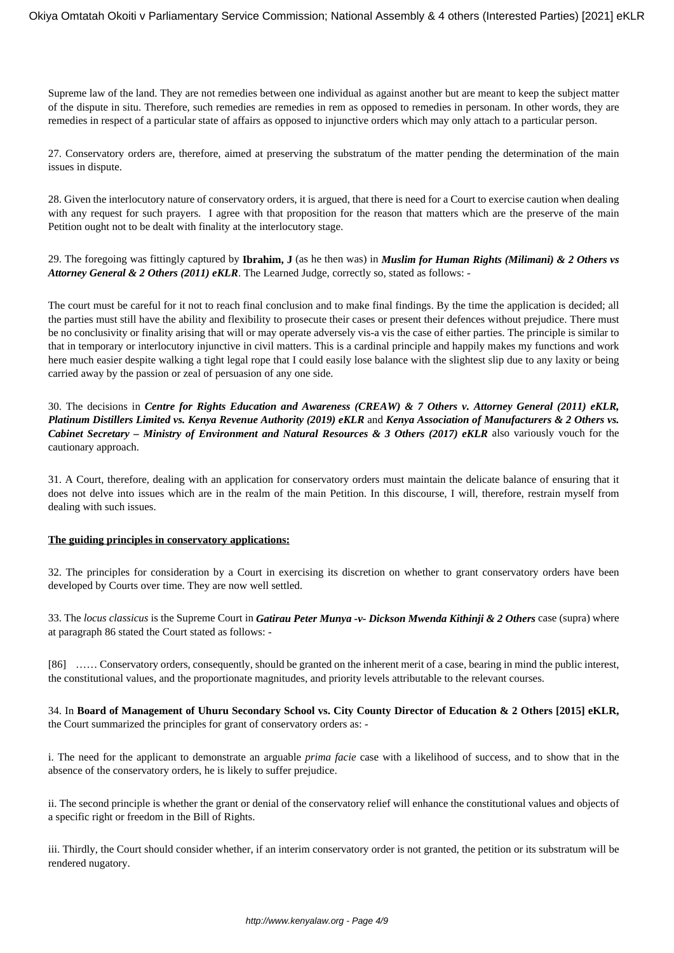Supreme law of the land. They are not remedies between one individual as against another but are meant to keep the subject matter of the dispute in situ. Therefore, such remedies are remedies in rem as opposed to remedies in personam. In other words, they are remedies in respect of a particular state of affairs as opposed to injunctive orders which may only attach to a particular person.

27. Conservatory orders are, therefore, aimed at preserving the substratum of the matter pending the determination of the main issues in dispute.

28. Given the interlocutory nature of conservatory orders, it is argued, that there is need for a Court to exercise caution when dealing with any request for such prayers. I agree with that proposition for the reason that matters which are the preserve of the main Petition ought not to be dealt with finality at the interlocutory stage.

29. The foregoing was fittingly captured by **Ibrahim, J** (as he then was) in *Muslim for Human Rights (Milimani) & 2 Others vs Attorney General & 2 Others (2011) eKLR*. The Learned Judge, correctly so, stated as follows: -

The court must be careful for it not to reach final conclusion and to make final findings. By the time the application is decided; all the parties must still have the ability and flexibility to prosecute their cases or present their defences without prejudice. There must be no conclusivity or finality arising that will or may operate adversely vis-a vis the case of either parties. The principle is similar to that in temporary or interlocutory injunctive in civil matters. This is a cardinal principle and happily makes my functions and work here much easier despite walking a tight legal rope that I could easily lose balance with the slightest slip due to any laxity or being carried away by the passion or zeal of persuasion of any one side.

30. The decisions in *Centre for Rights Education and Awareness (CREAW) & 7 Others v. Attorney General (2011) eKLR, Platinum Distillers Limited vs. Kenya Revenue Authority (2019) eKLR* and *Kenya Association of Manufacturers & 2 Others vs. Cabinet Secretary – Ministry of Environment and Natural Resources & 3 Others (2017) eKLR* also variously vouch for the cautionary approach.

31. A Court, therefore, dealing with an application for conservatory orders must maintain the delicate balance of ensuring that it does not delve into issues which are in the realm of the main Petition. In this discourse, I will, therefore, restrain myself from dealing with such issues.

### **The guiding principles in conservatory applications:**

32. The principles for consideration by a Court in exercising its discretion on whether to grant conservatory orders have been developed by Courts over time. They are now well settled.

33. The *locus classicus* is the Supreme Court in *Gatirau Peter Munya -v- Dickson Mwenda Kithinji & 2 Others* case (supra) where at paragraph 86 stated the Court stated as follows: -

[86] …… Conservatory orders, consequently, should be granted on the inherent merit of a case, bearing in mind the public interest, the constitutional values, and the proportionate magnitudes, and priority levels attributable to the relevant courses.

34. In **Board of Management of Uhuru Secondary School vs. City County Director of Education & 2 Others [2015] eKLR,** the Court summarized the principles for grant of conservatory orders as: -

i. The need for the applicant to demonstrate an arguable *prima facie* case with a likelihood of success, and to show that in the absence of the conservatory orders, he is likely to suffer prejudice.

ii. The second principle is whether the grant or denial of the conservatory relief will enhance the constitutional values and objects of a specific right or freedom in the Bill of Rights.

iii. Thirdly, the Court should consider whether, if an interim conservatory order is not granted, the petition or its substratum will be rendered nugatory.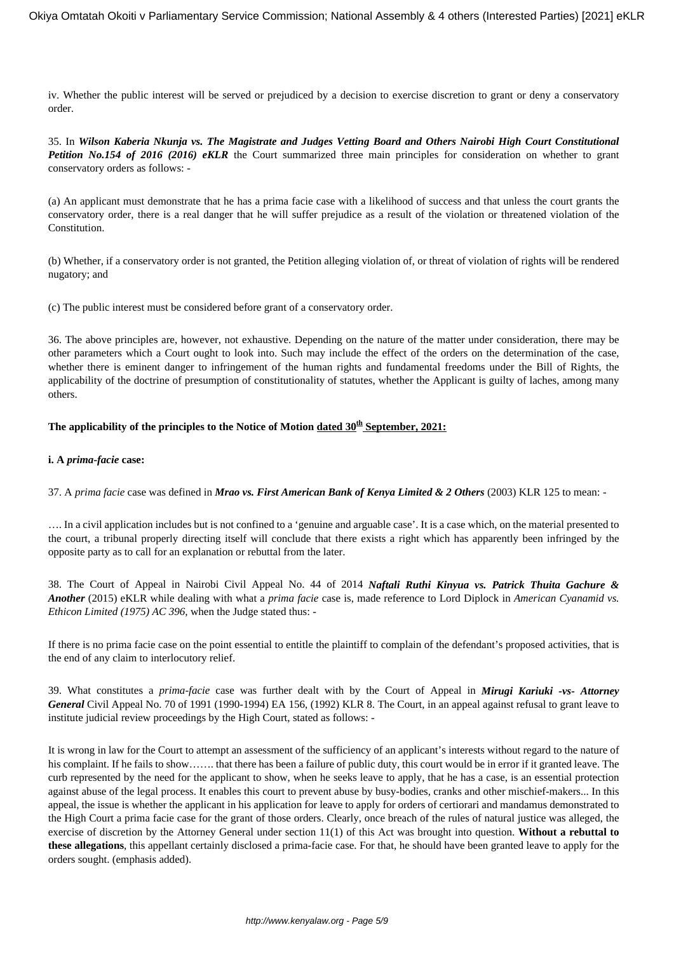iv. Whether the public interest will be served or prejudiced by a decision to exercise discretion to grant or deny a conservatory order.

35. In *Wilson Kaberia Nkunja vs. The Magistrate and Judges Vetting Board and Others Nairobi High Court Constitutional Petition No.154 of 2016 (2016) eKLR* the Court summarized three main principles for consideration on whether to grant conservatory orders as follows: -

(a) An applicant must demonstrate that he has a prima facie case with a likelihood of success and that unless the court grants the conservatory order, there is a real danger that he will suffer prejudice as a result of the violation or threatened violation of the Constitution.

(b) Whether, if a conservatory order is not granted, the Petition alleging violation of, or threat of violation of rights will be rendered nugatory; and

(c) The public interest must be considered before grant of a conservatory order.

36. The above principles are, however, not exhaustive. Depending on the nature of the matter under consideration, there may be other parameters which a Court ought to look into. Such may include the effect of the orders on the determination of the case, whether there is eminent danger to infringement of the human rights and fundamental freedoms under the Bill of Rights, the applicability of the doctrine of presumption of constitutionality of statutes, whether the Applicant is guilty of laches, among many others.

## The applicability of the principles to the Notice of Motion dated  $30<sup>th</sup>$  September, 2021:

### **i. A** *prima-facie* **case:**

37. A *prima facie* case was defined in *Mrao vs. First American Bank of Kenya Limited & 2 Others* (2003) KLR 125 to mean: -

…. In a civil application includes but is not confined to a 'genuine and arguable case'. It is a case which, on the material presented to the court, a tribunal properly directing itself will conclude that there exists a right which has apparently been infringed by the opposite party as to call for an explanation or rebuttal from the later.

38. The Court of Appeal in Nairobi Civil Appeal No. 44 of 2014 *Naftali Ruthi Kinyua vs. Patrick Thuita Gachure & Another* (2015) eKLR while dealing with what a *prima facie* case is, made reference to Lord Diplock in *American Cyanamid vs. Ethicon Limited (1975) AC 396,* when the Judge stated thus: -

If there is no prima facie case on the point essential to entitle the plaintiff to complain of the defendant's proposed activities, that is the end of any claim to interlocutory relief.

39. What constitutes a *prima-facie* case was further dealt with by the Court of Appeal in *Mirugi Kariuki -vs- Attorney General* Civil Appeal No. 70 of 1991 (1990-1994) EA 156, (1992) KLR 8. The Court, in an appeal against refusal to grant leave to institute judicial review proceedings by the High Court, stated as follows: -

It is wrong in law for the Court to attempt an assessment of the sufficiency of an applicant's interests without regard to the nature of his complaint. If he fails to show……. that there has been a failure of public duty, this court would be in error if it granted leave. The curb represented by the need for the applicant to show, when he seeks leave to apply, that he has a case, is an essential protection against abuse of the legal process. It enables this court to prevent abuse by busy-bodies, cranks and other mischief-makers... In this appeal, the issue is whether the applicant in his application for leave to apply for orders of certiorari and mandamus demonstrated to the High Court a prima facie case for the grant of those orders. Clearly, once breach of the rules of natural justice was alleged, the exercise of discretion by the Attorney General under section 11(1) of this Act was brought into question. **Without a rebuttal to these allegations**, this appellant certainly disclosed a prima-facie case. For that, he should have been granted leave to apply for the orders sought. (emphasis added).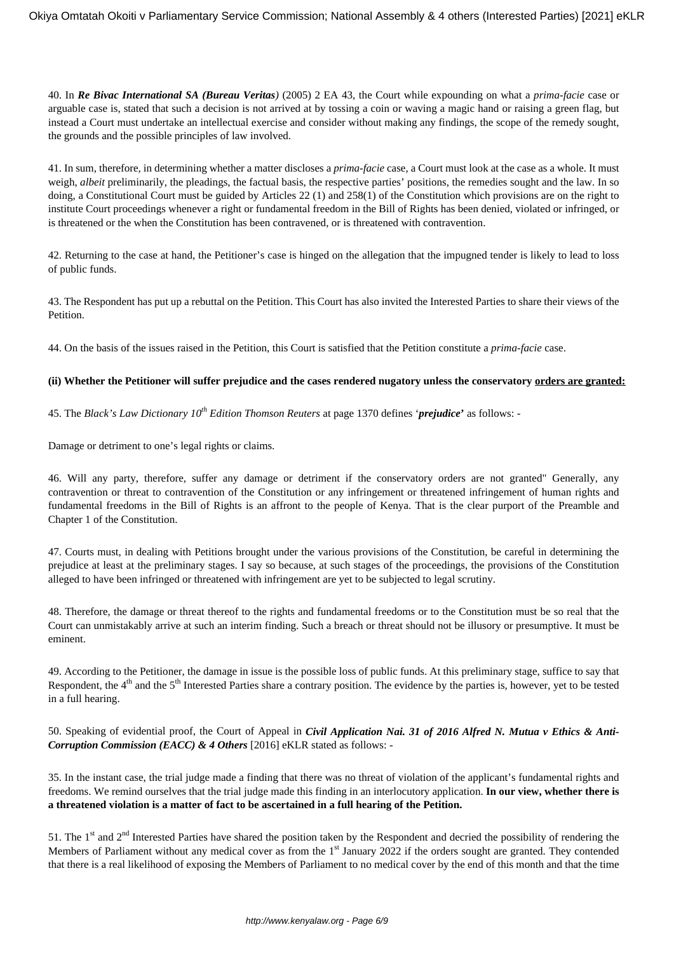40. In *Re Bivac International SA (Bureau Veritas)* (2005) 2 EA 43, the Court while expounding on what a *prima-facie* case or arguable case is, stated that such a decision is not arrived at by tossing a coin or waving a magic hand or raising a green flag, but instead a Court must undertake an intellectual exercise and consider without making any findings, the scope of the remedy sought, the grounds and the possible principles of law involved.

41. In sum, therefore, in determining whether a matter discloses a *prima-facie* case, a Court must look at the case as a whole. It must weigh, *albeit* preliminarily, the pleadings, the factual basis, the respective parties' positions, the remedies sought and the law. In so doing, a Constitutional Court must be guided by Articles 22 (1) and 258(1) of the Constitution which provisions are on the right to institute Court proceedings whenever a right or fundamental freedom in the Bill of Rights has been denied, violated or infringed, or is threatened or the when the Constitution has been contravened, or is threatened with contravention.

42. Returning to the case at hand, the Petitioner's case is hinged on the allegation that the impugned tender is likely to lead to loss of public funds.

43. The Respondent has put up a rebuttal on the Petition. This Court has also invited the Interested Parties to share their views of the Petition.

44. On the basis of the issues raised in the Petition, this Court is satisfied that the Petition constitute a *prima-facie* case.

### **(ii) Whether the Petitioner will suffer prejudice and the cases rendered nugatory unless the conservatory orders are granted:**

45. The *Black's Law Dictionary 10th Edition Thomson Reuters* at page 1370 defines '*prejudice***'** as follows: -

Damage or detriment to one's legal rights or claims.

46. Will any party, therefore, suffer any damage or detriment if the conservatory orders are not granted" Generally, any contravention or threat to contravention of the Constitution or any infringement or threatened infringement of human rights and fundamental freedoms in the Bill of Rights is an affront to the people of Kenya. That is the clear purport of the Preamble and Chapter 1 of the Constitution.

47. Courts must, in dealing with Petitions brought under the various provisions of the Constitution, be careful in determining the prejudice at least at the preliminary stages. I say so because, at such stages of the proceedings, the provisions of the Constitution alleged to have been infringed or threatened with infringement are yet to be subjected to legal scrutiny.

48. Therefore, the damage or threat thereof to the rights and fundamental freedoms or to the Constitution must be so real that the Court can unmistakably arrive at such an interim finding. Such a breach or threat should not be illusory or presumptive. It must be eminent.

49. According to the Petitioner, the damage in issue is the possible loss of public funds. At this preliminary stage, suffice to say that Respondent, the 4<sup>th</sup> and the 5<sup>th</sup> Interested Parties share a contrary position. The evidence by the parties is, however, yet to be tested in a full hearing.

50. Speaking of evidential proof, the Court of Appeal in *Civil Application Nai. 31 of 2016 Alfred N. Mutua v Ethics & Anti-Corruption Commission (EACC) & 4 Others* [2016] eKLR stated as follows: -

35. In the instant case, the trial judge made a finding that there was no threat of violation of the applicant's fundamental rights and freedoms. We remind ourselves that the trial judge made this finding in an interlocutory application. **In our view, whether there is a threatened violation is a matter of fact to be ascertained in a full hearing of the Petition.**

51. The  $1<sup>st</sup>$  and  $2<sup>nd</sup>$  Interested Parties have shared the position taken by the Respondent and decried the possibility of rendering the Members of Parliament without any medical cover as from the  $1<sup>st</sup>$  January 2022 if the orders sought are granted. They contended that there is a real likelihood of exposing the Members of Parliament to no medical cover by the end of this month and that the time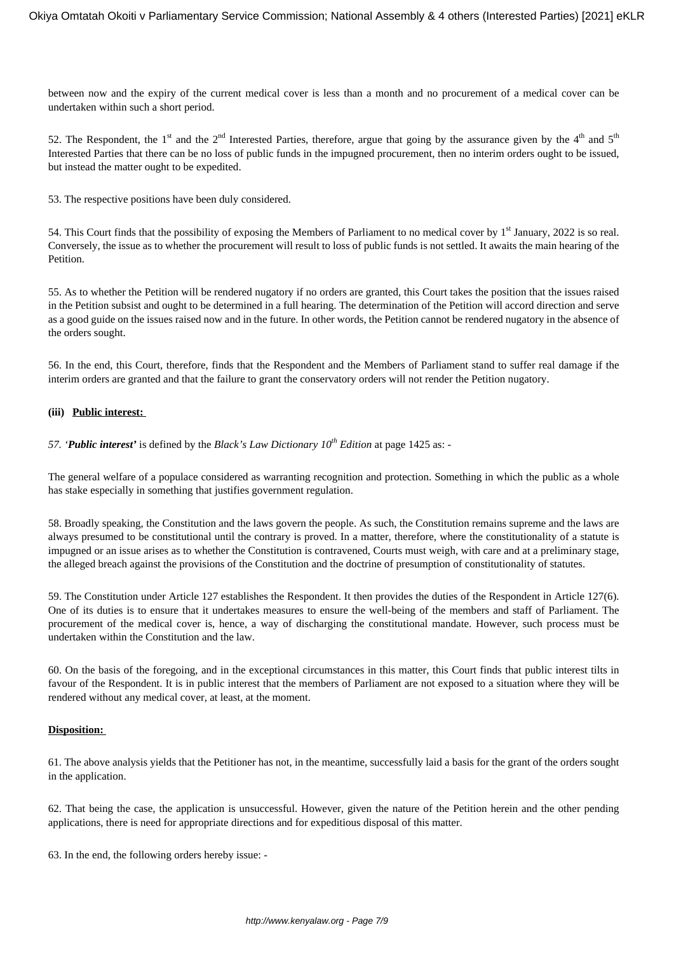between now and the expiry of the current medical cover is less than a month and no procurement of a medical cover can be undertaken within such a short period.

52. The Respondent, the 1<sup>st</sup> and the 2<sup>nd</sup> Interested Parties, therefore, argue that going by the assurance given by the 4<sup>th</sup> and 5<sup>th</sup> Interested Parties that there can be no loss of public funds in the impugned procurement, then no interim orders ought to be issued, but instead the matter ought to be expedited.

53. The respective positions have been duly considered.

54. This Court finds that the possibility of exposing the Members of Parliament to no medical cover by 1<sup>st</sup> January, 2022 is so real. Conversely, the issue as to whether the procurement will result to loss of public funds is not settled. It awaits the main hearing of the Petition.

55. As to whether the Petition will be rendered nugatory if no orders are granted, this Court takes the position that the issues raised in the Petition subsist and ought to be determined in a full hearing. The determination of the Petition will accord direction and serve as a good guide on the issues raised now and in the future. In other words, the Petition cannot be rendered nugatory in the absence of the orders sought.

56. In the end, this Court, therefore, finds that the Respondent and the Members of Parliament stand to suffer real damage if the interim orders are granted and that the failure to grant the conservatory orders will not render the Petition nugatory.

### **(iii) Public interest:**

*57. 'Public interest'* is defined by the *Black's Law Dictionary 10th Edition* at page 1425 as: -

The general welfare of a populace considered as warranting recognition and protection. Something in which the public as a whole has stake especially in something that justifies government regulation.

58. Broadly speaking, the Constitution and the laws govern the people. As such, the Constitution remains supreme and the laws are always presumed to be constitutional until the contrary is proved. In a matter, therefore, where the constitutionality of a statute is impugned or an issue arises as to whether the Constitution is contravened, Courts must weigh, with care and at a preliminary stage, the alleged breach against the provisions of the Constitution and the doctrine of presumption of constitutionality of statutes.

59. The Constitution under Article 127 establishes the Respondent. It then provides the duties of the Respondent in Article 127(6). One of its duties is to ensure that it undertakes measures to ensure the well-being of the members and staff of Parliament. The procurement of the medical cover is, hence, a way of discharging the constitutional mandate. However, such process must be undertaken within the Constitution and the law.

60. On the basis of the foregoing, and in the exceptional circumstances in this matter, this Court finds that public interest tilts in favour of the Respondent. It is in public interest that the members of Parliament are not exposed to a situation where they will be rendered without any medical cover, at least, at the moment.

### **Disposition:**

61. The above analysis yields that the Petitioner has not, in the meantime, successfully laid a basis for the grant of the orders sought in the application.

62. That being the case, the application is unsuccessful. However, given the nature of the Petition herein and the other pending applications, there is need for appropriate directions and for expeditious disposal of this matter.

63. In the end, the following orders hereby issue: -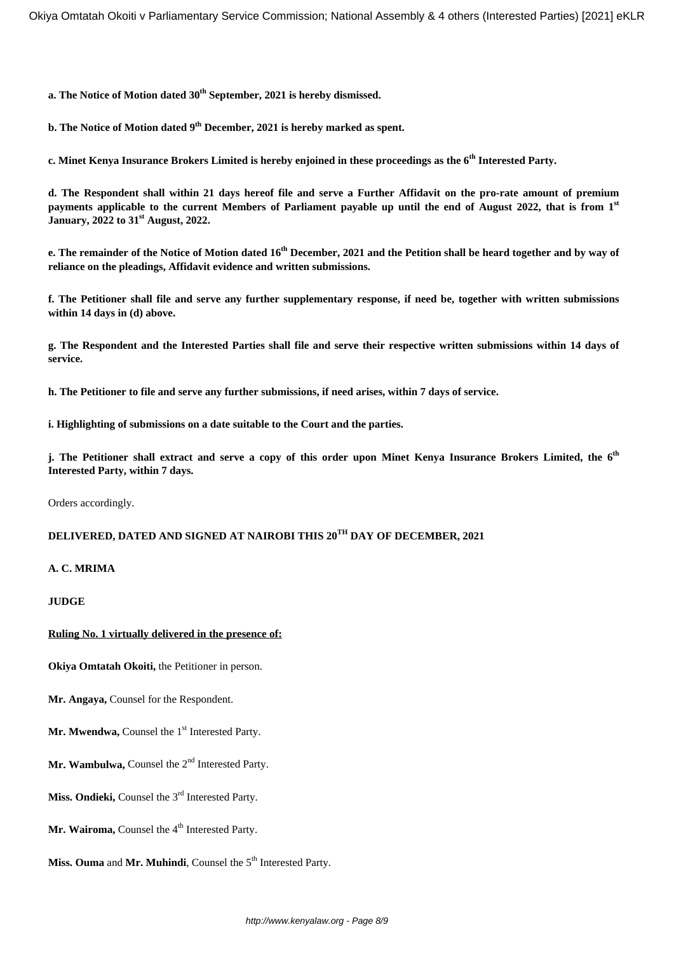**a. The Notice of Motion dated 30th September, 2021 is hereby dismissed.** 

**b. The Notice of Motion dated 9 th December, 2021 is hereby marked as spent.**

**c. Minet Kenya Insurance Brokers Limited is hereby enjoined in these proceedings as the 6th Interested Party.**

**d. The Respondent shall within 21 days hereof file and serve a Further Affidavit on the pro-rate amount of premium payments applicable to the current Members of Parliament payable up until the end of August 2022, that is from 1st January, 2022 to 31st August, 2022.**

**e. The remainder of the Notice of Motion dated 16th December, 2021 and the Petition shall be heard together and by way of reliance on the pleadings, Affidavit evidence and written submissions.**

**f. The Petitioner shall file and serve any further supplementary response, if need be, together with written submissions within 14 days in (d) above.**

**g. The Respondent and the Interested Parties shall file and serve their respective written submissions within 14 days of service.**

**h. The Petitioner to file and serve any further submissions, if need arises, within 7 days of service.** 

**i. Highlighting of submissions on a date suitable to the Court and the parties.**

**j. The Petitioner shall extract and serve a copy of this order upon Minet Kenya Insurance Brokers Limited, the 6th Interested Party, within 7 days.** 

Orders accordingly.

# **DELIVERED, DATED AND SIGNED AT NAIROBI THIS 20TH DAY OF DECEMBER, 2021**

### **A. C. MRIMA**

**JUDGE**

#### **Ruling No. 1 virtually delivered in the presence of:**

**Okiya Omtatah Okoiti,** the Petitioner in person.

**Mr. Angaya,** Counsel for the Respondent.

Mr. Mwendwa, Counsel the 1<sup>st</sup> Interested Party.

- Mr. Wambulwa, Counsel the 2<sup>nd</sup> Interested Party.
- Miss. Ondieki, Counsel the 3<sup>rd</sup> Interested Party.
- Mr. Wairoma, Counsel the 4<sup>th</sup> Interested Party.
- **Miss. Ouma** and **Mr. Muhindi**, Counsel the 5<sup>th</sup> Interested Party.